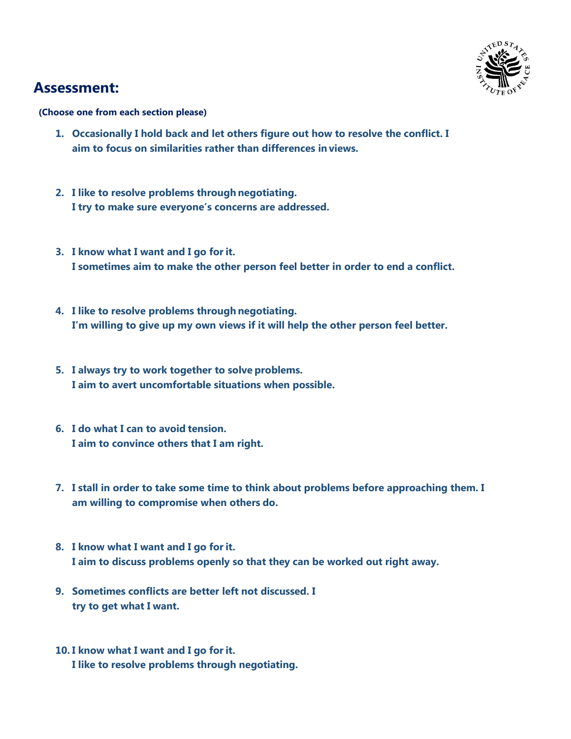

## **Assessment:**

**(Choose one from each section please)**

- **1. Occasionally I hold back and let others figure out how to resolve the conflict. I aim to focus on similarities rather than differences in views.**
- **2. I like to resolve problems through negotiating. I try to make sure everyone's concerns are addressed.**
- **3. I know what I want and I go forit. I sometimes aim to make the other person feel better in order to end a conflict.**
- **4. I like to resolve problems through negotiating. I'm willing to give up my own views if it will help the other person feel better.**
- **5. I always try to work together to solve problems. I aim to avert uncomfortable situations when possible.**
- **6. I do what I can to avoid tension. I aim to convince others that I am right.**
- **7. I stall in order to take some time to think about problems before approaching them. I am willing to compromise when others do.**
- **8. I know what I want and I go forit. I aim to discuss problems openly so that they can be worked out right away.**
- **9. Sometimes conflicts are better left not discussed. I try to get what I want.**
- **10. I know what I want and I go forit. I like to resolve problems through negotiating.**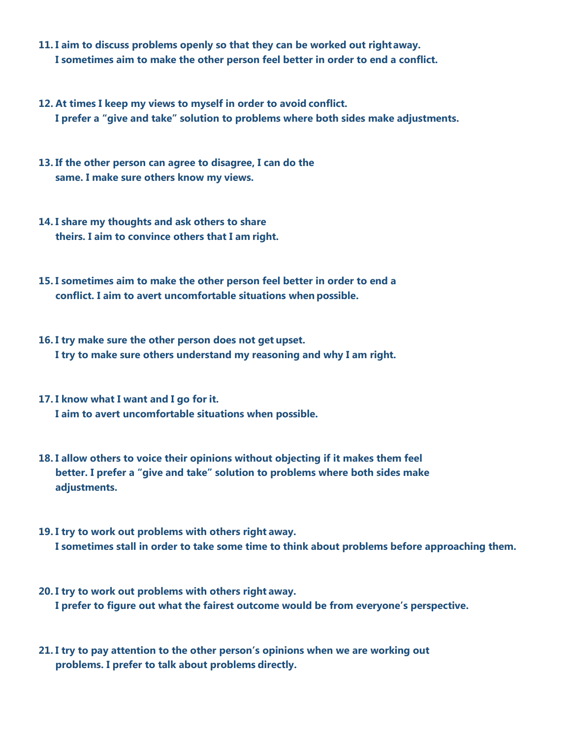- **11. I aim to discuss problems openly so that they can be worked out rightaway. I sometimes aim to make the other person feel better in order to end a conflict.**
- **12. At times I keep my views to myself in order to avoid conflict. I prefer a "give and take" solution to problems where both sides make adjustments.**
- **13. If the other person can agree to disagree, I can do the same. I make sure others know my views.**
- **14. I share my thoughts and ask others to share theirs. I aim to convince others that I am right.**
- **15. I sometimes aim to make the other person feel better in order to end a conflict. I aim to avert uncomfortable situations when possible.**
- **16. I try make sure the other person does not get upset. I try to make sure others understand my reasoning and why I am right.**
- **17. I know what I want and I go for it. I aim to avert uncomfortable situations when possible.**
- **18. I allow others to voice their opinions without objecting if it makes them feel better. I prefer a "give and take" solution to problems where both sides make adjustments.**
- **19. I try to work out problems with others right away. I sometimes stall in order to take some time to think about problems before approaching them.**
- **20. I try to work out problems with others right away. I prefer to figure out what the fairest outcome would be from everyone's perspective.**
- **21. I try to pay attention to the other person's opinions when we are working out problems. I prefer to talk about problems directly.**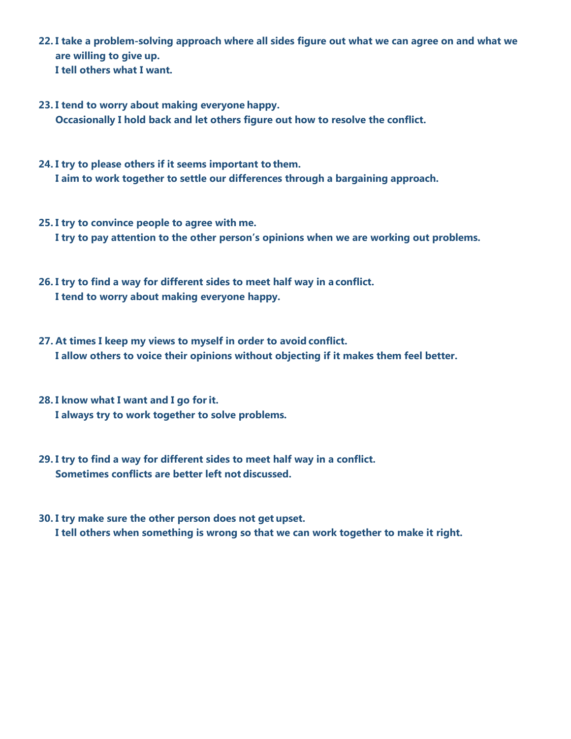- **22. I take a problem-solving approach where all sides figure out what we can agree on and what we are willing to give up. I tell others what I want.**
- **23. I tend to worry about making everyone happy. Occasionally I hold back and let others figure out how to resolve the conflict.**
- **24. I try to please others if it seems important to them. I aim to work together to settle our differences through a bargaining approach.**
- **25. I try to convince people to agree with me. I try to pay attention to the other person's opinions when we are working out problems.**
- **26. I try to find a way for different sides to meet half way in a conflict. I tend to worry about making everyone happy.**
- **27. At times I keep my views to myself in order to avoid conflict. I allow others to voice their opinions without objecting if it makes them feel better.**
- **28. I know what I want and I go forit. I always try to work together to solve problems.**
- **29. I try to find a way for different sides to meet half way in a conflict. Sometimes conflicts are better left not discussed.**
- **30. I try make sure the other person does not get upset. I tell others when something is wrong so that we can work together to make it right.**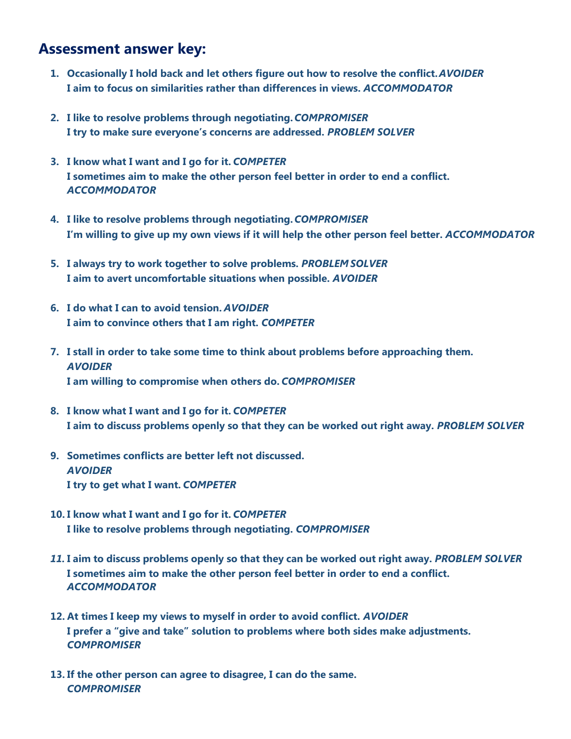### **Assessment answer key:**

- **1. Occasionally I hold back and let others figure out how to resolve the conflict.***AVOIDER* **I aim to focus on similarities rather than differences in views.** *ACCOMMODATOR*
- **2. I like to resolve problems through negotiating.***COMPROMISER* **I try to make sure everyone's concerns are addressed.** *PROBLEM SOLVER*
- **3. I know what I want and I go for it.** *COMPETER* **I sometimes aim to make the other person feel better in order to end a conflict.**  *ACCOMMODATOR*
- **4. I like to resolve problems through negotiating.***COMPROMISER* **I'm willing to give up my own views if it will help the other person feel better.** *ACCOMMODATOR*
- **5. I always try to work together to solve problems.** *PROBLEM SOLVER* **I aim to avert uncomfortable situations when possible.** *AVOIDER*
- **6. I do what I can to avoid tension.** *AVOIDER* **I aim to convince others that I am right.** *COMPETER*
- **7. I stall in order to take some time to think about problems before approaching them.**  *AVOIDER* **I am willing to compromise when others do.** *COMPROMISER*
- **8. I know what I want and I go for it.** *COMPETER* **I aim to discuss problems openly so that they can be worked out right away.** *PROBLEM SOLVER*
- **9. Sometimes conflicts are better left not discussed.**  *AVOIDER* **I try to get what I want.** *COMPETER*
- **10. I know what I want and I go for it.** *COMPETER* **I like to resolve problems through negotiating.** *COMPROMISER*
- *11.* **I aim to discuss problems openly so that they can be worked out right away.** *PROBLEM SOLVER* **I sometimes aim to make the other person feel better in order to end a conflict.**  *ACCOMMODATOR*
- **12. At times I keep my views to myself in order to avoid conflict.** *AVOIDER* **I prefer a "give and take" solution to problems where both sides make adjustments.**  *COMPROMISER*
- **13. If the other person can agree to disagree, I can do the same.**  *COMPROMISER*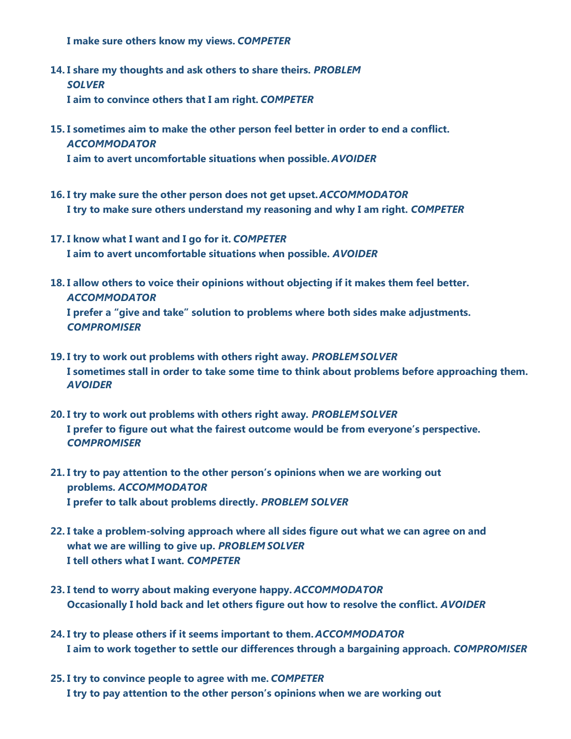**I make sure others know my views.** *COMPETER*

- **14. I share my thoughts and ask others to share theirs.** *PROBLEM SOLVER* **I aim to convince others that I am right.** *COMPETER*
- **15. I sometimes aim to make the other person feel better in order to end a conflict.**  *ACCOMMODATOR*

**I aim to avert uncomfortable situations when possible.** *AVOIDER*

- **16. I try make sure the other person does not get upset.** *ACCOMMODATOR* **I try to make sure others understand my reasoning and why I am right.** *COMPETER*
- **17. I know what I want and I go for it.** *COMPETER* **I aim to avert uncomfortable situations when possible.** *AVOIDER*
- **18. I allow others to voice their opinions without objecting if it makes them feel better.**  *ACCOMMODATOR* **I prefer a "give and take" solution to problems where both sides make adjustments.** *COMPROMISER*
- **19. I try to work out problems with others right away.** *PROBLEMSOLVER* **I sometimes stall in order to take some time to think about problems before approaching them.**  *AVOIDER*
- **20. I try to work out problems with others right away***. PROBLEMSOLVER* **I prefer to figure out what the fairest outcome would be from everyone's perspective.**  *COMPROMISER*
- **21. I try to pay attention to the other person's opinions when we are working out problems.** *ACCOMMODATOR* **I prefer to talk about problems directly.** *PROBLEM SOLVER*
- **22. I take a problem-solving approach where all sides figure out what we can agree on and what we are willing to give up.** *PROBLEM SOLVER* **I tell others what I want.** *COMPETER*
- **23. I tend to worry about making everyone happy.** *ACCOMMODATOR* **Occasionally I hold back and let others figure out how to resolve the conflict.** *AVOIDER*
- **24. I try to please others if it seems important to them.** *ACCOMMODATOR* **I aim to work together to settle our differences through a bargaining approach.** *COMPROMISER*
- **25. I try to convince people to agree with me.** *COMPETER* **I try to pay attention to the other person's opinions when we are working out**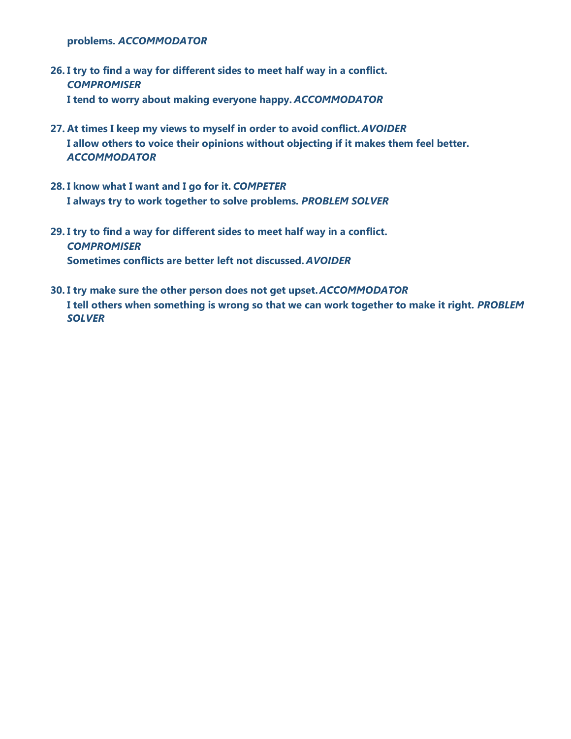**problems.** *ACCOMMODATOR*

- **26. I try to find a way for different sides to meet half way in a conflict.**  *COMPROMISER* **I tend to worry about making everyone happy.** *ACCOMMODATOR*
- **27. At times I keep my views to myself in order to avoid conflict.** *AVOIDER* **I allow others to voice their opinions without objecting if it makes them feel better.**  *ACCOMMODATOR*
- **28. I know what I want and I go for it.** *COMPETER* **I always try to work together to solve problems.** *PROBLEM SOLVER*
- **29. I try to find a way for different sides to meet half way in a conflict.**  *COMPROMISER* **Sometimes conflicts are better left not discussed.** *AVOIDER*
- **30. I try make sure the other person does not get upset.** *ACCOMMODATOR* **I tell others when something is wrong so that we can work together to make it right.** *PROBLEM SOLVER*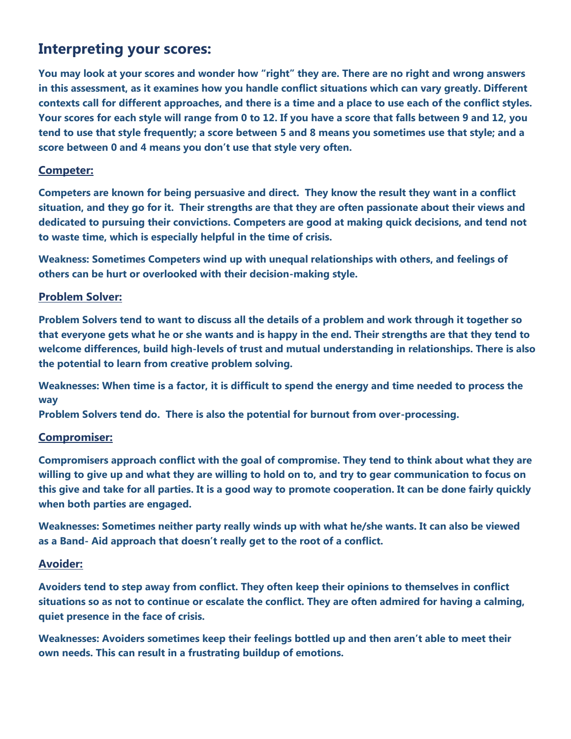# **Interpreting your scores:**

**You may look at your scores and wonder how "right" they are. There are no right and wrong answers in this assessment, as it examines how you handle conflict situations which can vary greatly. Different contexts call for different approaches, and there is a time and a place to use each of the conflict styles. Your scores for each style will range from 0 to 12. If you have a score that falls between 9 and 12, you tend to use that style frequently; a score between 5 and 8 means you sometimes use that style; and a score between 0 and 4 means you don't use that style very often.**

#### **Competer:**

**Competers are known for being persuasive and direct. They know the result they want in a conflict situation, and they go for it. Their strengths are that they are often passionate about their views and dedicated to pursuing their convictions. Competers are good at making quick decisions, and tend not to waste time, which is especially helpful in the time of crisis.**

**Weakness: Sometimes Competers wind up with unequal relationships with others, and feelings of others can be hurt or overlooked with their decision-making style.**

#### **Problem Solver:**

**Problem Solvers tend to want to discuss all the details of a problem and work through it together so that everyone gets what he or she wants and is happy in the end. Their strengths are that they tend to welcome differences, build high-levels of trust and mutual understanding in relationships. There is also the potential to learn from creative problem solving.**

**Weaknesses: When time is a factor, it is difficult to spend the energy and time needed to process the way**

**Problem Solvers tend do. There is also the potential for burnout from over-processing.**

#### **Compromiser:**

**Compromisers approach conflict with the goal of compromise. They tend to think about what they are willing to give up and what they are willing to hold on to, and try to gear communication to focus on this give and take for all parties. It is a good way to promote cooperation. It can be done fairly quickly when both parties are engaged.**

**Weaknesses: Sometimes neither party really winds up with what he/she wants. It can also be viewed as a Band- Aid approach that doesn't really get to the root of a conflict.**

#### **Avoider:**

**Avoiders tend to step away from conflict. They often keep their opinions to themselves in conflict situations so as not to continue or escalate the conflict. They are often admired for having a calming, quiet presence in the face of crisis.**

**Weaknesses: Avoiders sometimes keep their feelings bottled up and then aren't able to meet their own needs. This can result in a frustrating buildup of emotions.**